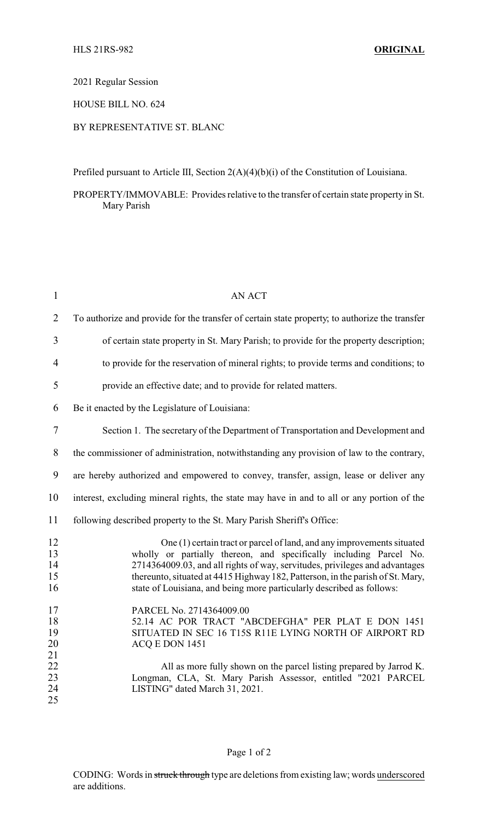2021 Regular Session

HOUSE BILL NO. 624

## BY REPRESENTATIVE ST. BLANC

Prefiled pursuant to Article III, Section 2(A)(4)(b)(i) of the Constitution of Louisiana.

PROPERTY/IMMOVABLE: Provides relative to the transfer of certain state property in St. Mary Parish

| $\mathbf{1}$               | <b>AN ACT</b>                                                                                                                                                                                                                                                                                                                                                                          |
|----------------------------|----------------------------------------------------------------------------------------------------------------------------------------------------------------------------------------------------------------------------------------------------------------------------------------------------------------------------------------------------------------------------------------|
| $\overline{2}$             | To authorize and provide for the transfer of certain state property, to authorize the transfer                                                                                                                                                                                                                                                                                         |
| 3                          | of certain state property in St. Mary Parish; to provide for the property description;                                                                                                                                                                                                                                                                                                 |
| $\overline{4}$             | to provide for the reservation of mineral rights; to provide terms and conditions; to                                                                                                                                                                                                                                                                                                  |
| 5                          | provide an effective date; and to provide for related matters.                                                                                                                                                                                                                                                                                                                         |
| 6                          | Be it enacted by the Legislature of Louisiana:                                                                                                                                                                                                                                                                                                                                         |
| $\tau$                     | Section 1. The secretary of the Department of Transportation and Development and                                                                                                                                                                                                                                                                                                       |
| 8                          | the commissioner of administration, notwithstanding any provision of law to the contrary,                                                                                                                                                                                                                                                                                              |
| 9                          | are hereby authorized and empowered to convey, transfer, assign, lease or deliver any                                                                                                                                                                                                                                                                                                  |
| 10                         | interest, excluding mineral rights, the state may have in and to all or any portion of the                                                                                                                                                                                                                                                                                             |
| 11                         | following described property to the St. Mary Parish Sheriff's Office:                                                                                                                                                                                                                                                                                                                  |
| 12<br>13<br>14<br>15<br>16 | One (1) certain tract or parcel of land, and any improvements situated<br>wholly or partially thereon, and specifically including Parcel No.<br>2714364009.03, and all rights of way, servitudes, privileges and advantages<br>thereunto, situated at 4415 Highway 182, Patterson, in the parish of St. Mary,<br>state of Louisiana, and being more particularly described as follows: |
| 17<br>18<br>19<br>20<br>21 | PARCEL No. 2714364009.00<br>52.14 AC POR TRACT "ABCDEFGHA" PER PLAT E DON 1451<br>SITUATED IN SEC 16 T15S R11E LYING NORTH OF AIRPORT RD<br>ACQ E DON 1451                                                                                                                                                                                                                             |
| 22<br>23<br>24<br>25       | All as more fully shown on the parcel listing prepared by Jarrod K.<br>Longman, CLA, St. Mary Parish Assessor, entitled "2021 PARCEL<br>LISTING" dated March 31, 2021.                                                                                                                                                                                                                 |

## Page 1 of 2